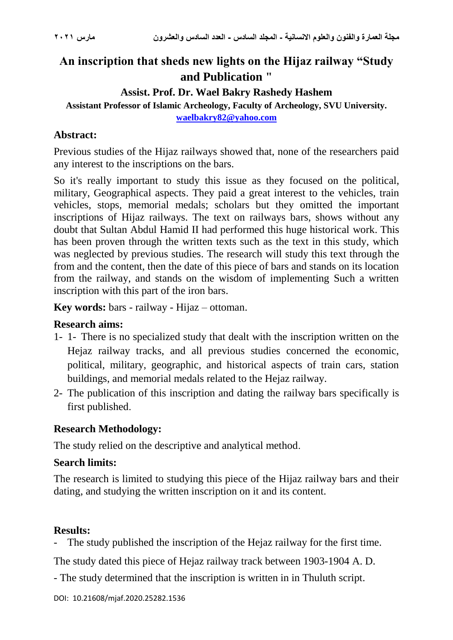# **An inscription that sheds new lights on the Hijaz railway "Study and Publication "**

#### **Assist. Prof. Dr. Wael Bakry Rashedy Hashem**

**Assistant Professor of Islamic Archeology, Faculty of Archeology, SVU University. [waelbakry82@yahoo.com](mailto:waelbakry82@yahoo.com)**

## **Abstract:**

Previous studies of the Hijaz railways showed that, none of the researchers paid any interest to the inscriptions on the bars.

So it's really important to study this issue as they focused on the political, military, Geographical aspects. They paid a great interest to the vehicles, train vehicles, stops, memorial medals; scholars but they omitted the important inscriptions of Hijaz railways. The text on railways bars, shows without any doubt that Sultan Abdul Hamid II had performed this huge historical work. This has been proven through the written texts such as the text in this study, which was neglected by previous studies. The research will study this text through the from and the content, then the date of this piece of bars and stands on its location from the railway, and stands on the wisdom of implementing Such a written inscription with this part of the iron bars.

**Key words:** bars - railway - Hijaz – ottoman.

#### **Research aims:**

- 1- 1- There is no specialized study that dealt with the inscription written on the Hejaz railway tracks, and all previous studies concerned the economic, political, military, geographic, and historical aspects of train cars, station buildings, and memorial medals related to the Hejaz railway.
- 2- The publication of this inscription and dating the railway bars specifically is first published.

#### **Research Methodology:**

The study relied on the descriptive and analytical method.

#### **Search limits:**

The research is limited to studying this piece of the Hijaz railway bars and their dating, and studying the written inscription on it and its content.

#### **Results:**

The study published the inscription of the Hejaz railway for the first time.

The study dated this piece of Hejaz railway track between 1903-1904 A. D.

- The study determined that the inscription is written in in Thuluth script.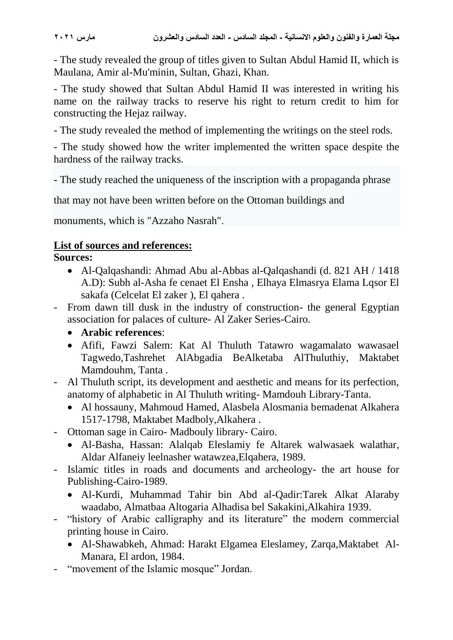- The study revealed the group of titles given to Sultan Abdul Hamid II, which is Maulana, Amir al-Mu'minin, Sultan, Ghazi, Khan.

- The study showed that Sultan Abdul Hamid II was interested in writing his name on the railway tracks to reserve his right to return credit to him for constructing the Hejaz railway.

- The study revealed the method of implementing the writings on the steel rods.

- The study showed how the writer implemented the written space despite the hardness of the railway tracks.

- The study reached the uniqueness of the inscription with a propaganda phrase

that may not have been written before on the Ottoman buildings and

monuments, which is "Azzaho Nasrah".

### **List of sources and references:**

#### **Sources:**

- Al-Qalqashandi: Ahmad Abu al-Abbas al-Qalqashandi (d. 821 AH / 1418 A.D): Subh al-Asha fe cenaet El Ensha , Elhaya Elmasrya Elama Lqsor El sakafa (Celcelat El zaker ), El qahera .
- From dawn till dusk in the industry of construction- the general Egyptian association for palaces of culture- Al Zaker Series-Cairo.
	- **Arabic references**:
	- Afifi, Fawzi Salem: Kat Al Thuluth Tatawro wagamalato wawasael Tagwedo,Tashrehet AlAbgadia BeAlketaba AlThuluthiy, Maktabet Mamdouhm, Tanta .
- Al Thuluth script, its development and aesthetic and means for its perfection, anatomy of alphabetic in Al Thuluth writing- Mamdouh Library-Tanta.
	- Al hossauny, Mahmoud Hamed, Alasbela Alosmania bemadenat Alkahera 1517-1798, Maktabet Madboly,Alkahera .
- Ottoman sage in Cairo- Madbouly library- Cairo.
	- Al-Basha, Hassan: Alalqab Eleslamiy fe Altarek walwasaek walathar, Aldar Alfaneiy leelnasher watawzea,Elqahera, 1989.
- Islamic titles in roads and documents and archeology- the art house for Publishing-Cairo-1989.
	- Al-Kurdi, Muhammad Tahir bin Abd al-Qadir:Tarek Alkat Alaraby waadabo, Almatbaa Altogaria Alhadisa bel Sakakini,Alkahira 1939.
- "history of Arabic calligraphy and its literature" the modern commercial printing house in Cairo.
	- Al-Shawabkeh, Ahmad: Harakt Elgamea Eleslamey, Zarqa,Maktabet Al-Manara, El ardon, 1984.
- "movement of the Islamic mosque" Jordan.